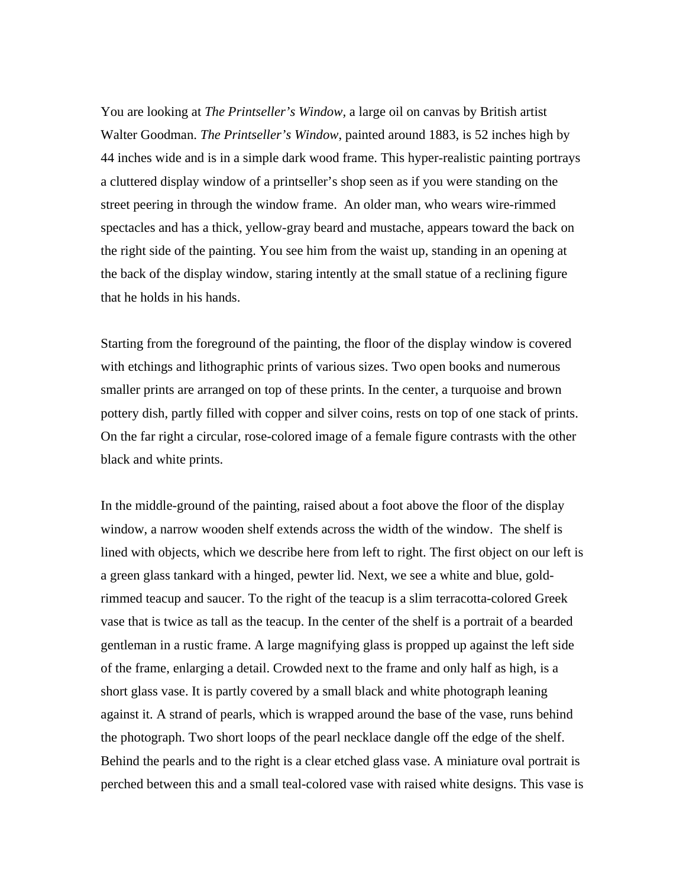You are looking at *The Printseller's Window,* a large oil on canvas by British artist Walter Goodman. *The Printseller's Window*, painted around 1883, is 52 inches high by 44 inches wide and is in a simple dark wood frame. This hyper-realistic painting portrays a cluttered display window of a printseller's shop seen as if you were standing on the street peering in through the window frame. An older man, who wears wire-rimmed spectacles and has a thick, yellow-gray beard and mustache, appears toward the back on the right side of the painting. You see him from the waist up, standing in an opening at the back of the display window, staring intently at the small statue of a reclining figure that he holds in his hands.

Starting from the foreground of the painting, the floor of the display window is covered with etchings and lithographic prints of various sizes. Two open books and numerous smaller prints are arranged on top of these prints. In the center, a turquoise and brown pottery dish, partly filled with copper and silver coins, rests on top of one stack of prints. On the far right a circular, rose-colored image of a female figure contrasts with the other black and white prints.

In the middle-ground of the painting, raised about a foot above the floor of the display window, a narrow wooden shelf extends across the width of the window. The shelf is lined with objects, which we describe here from left to right. The first object on our left is a green glass tankard with a hinged, pewter lid. Next, we see a white and blue, goldrimmed teacup and saucer. To the right of the teacup is a slim terracotta-colored Greek vase that is twice as tall as the teacup. In the center of the shelf is a portrait of a bearded gentleman in a rustic frame. A large magnifying glass is propped up against the left side of the frame, enlarging a detail. Crowded next to the frame and only half as high, is a short glass vase. It is partly covered by a small black and white photograph leaning against it. A strand of pearls, which is wrapped around the base of the vase, runs behind the photograph. Two short loops of the pearl necklace dangle off the edge of the shelf. Behind the pearls and to the right is a clear etched glass vase. A miniature oval portrait is perched between this and a small teal-colored vase with raised white designs. This vase is